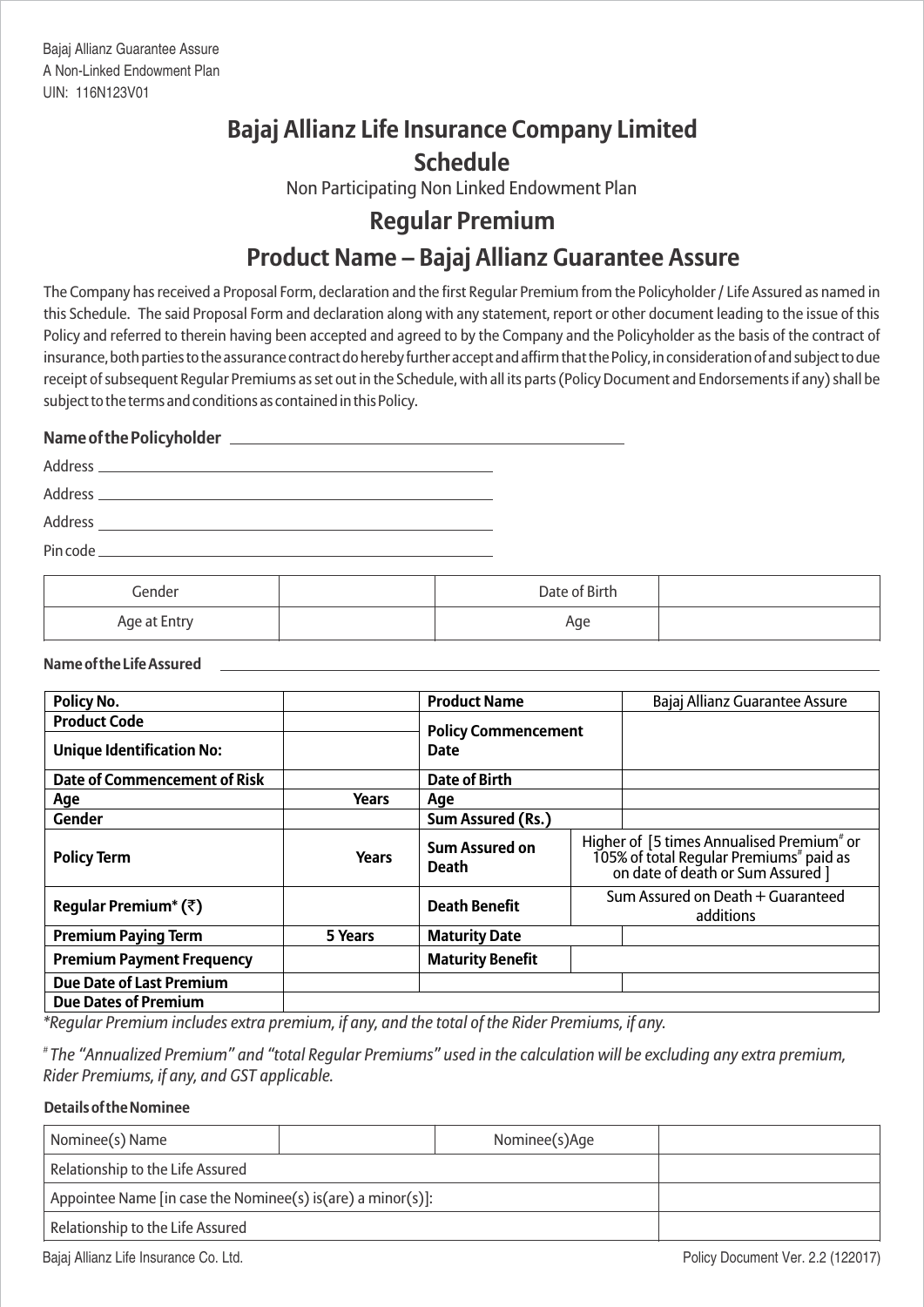# **Bajaj Allianz Life Insurance Company Limited Schedule**

Non Participating Non Linked Endowment Plan

# **Regular Premium**

# **Product Name – Bajaj Allianz Guarantee Assure**

The Company has received a Proposal Form, declaration and the first Regular Premium from the Policyholder / Life Assured as named in this Schedule. The said Proposal Form and declaration along with any statement, report or other document leading to the issue of this Policy and referred to therein having been accepted and agreed to by the Company and the Policyholder as the basis of the contract of insurance, both parties to the assurance contract do hereby further accept and affirm that the Policy, in consideration of and subject to due receipt of subsequent Regular Premiums as set out in the Schedule, with all its parts (Policy Document and Endorsements if any) shall be subject to the terms and conditions as contained in this Policy.

# **Name of the Policyholder**

| Address<br><u> 1989 - Andrea Andrew Maria (h. 1989).</u><br>1906 - Andrew Maria (h. 1906). |  |
|--------------------------------------------------------------------------------------------|--|
|                                                                                            |  |
| Address                                                                                    |  |
| Pin code _                                                                                 |  |

| Gender       | Date of Birth |  |
|--------------|---------------|--|
| Age at Entry | Age           |  |

# **Name of the Life Assured**

| <b>Policy No.</b>                          |              | <b>Product Name</b>                       |  | Bajaj Allianz Guarantee Assure                                                                                                                    |  |
|--------------------------------------------|--------------|-------------------------------------------|--|---------------------------------------------------------------------------------------------------------------------------------------------------|--|
| <b>Product Code</b>                        |              |                                           |  |                                                                                                                                                   |  |
| <b>Unique Identification No:</b>           |              | <b>Policy Commencement</b><br><b>Date</b> |  |                                                                                                                                                   |  |
| <b>Date of Commencement of Risk</b>        |              | <b>Date of Birth</b>                      |  |                                                                                                                                                   |  |
| Age                                        | Years        | Age                                       |  |                                                                                                                                                   |  |
| <b>Gender</b>                              |              | Sum Assured (Rs.)                         |  |                                                                                                                                                   |  |
| <b>Policy Term</b>                         | <b>Years</b> | <b>Sum Assured on</b><br><b>Death</b>     |  | Higher of [5 times Annualised Premium <sup>#</sup> or<br>105% of total Regular Premiums <sup>#</sup> paid as<br>on date of death or Sum Assured ] |  |
| Regular Premium <sup>*</sup> ( $\bar{z}$ ) |              | <b>Death Benefit</b>                      |  | Sum Assured on Death + Guaranteed<br>additions                                                                                                    |  |
| <b>Premium Paying Term</b>                 | 5 Years      | <b>Maturity Date</b>                      |  |                                                                                                                                                   |  |
| <b>Premium Payment Frequency</b>           |              | <b>Maturity Benefit</b>                   |  |                                                                                                                                                   |  |
| <b>Due Date of Last Premium</b>            |              |                                           |  |                                                                                                                                                   |  |
| <b>Due Dates of Premium</b>                |              |                                           |  |                                                                                                                                                   |  |

*\*Regular Premium includes extra premium, if any, and the total of the Rider Premiums, if any.*

*# The "Annualized Premium" and "total Regular Premiums" used in the calculation will be excluding any extra premium, Rider Premiums, if any, and GST applicable.*

# **Details of the Nominee**

| Nominee(s) Name                                              |  | Nominee(s)Age |  |
|--------------------------------------------------------------|--|---------------|--|
| Relationship to the Life Assured                             |  |               |  |
| Appointee Name [in case the Nominee(s) is (are) a minor(s)]: |  |               |  |
| Relationship to the Life Assured                             |  |               |  |

Bajaj Allianz Life Insurance Co. Ltd. **Provides a laterature of the Co. Ltd.** Policy Document Ver. 2.2 (122017)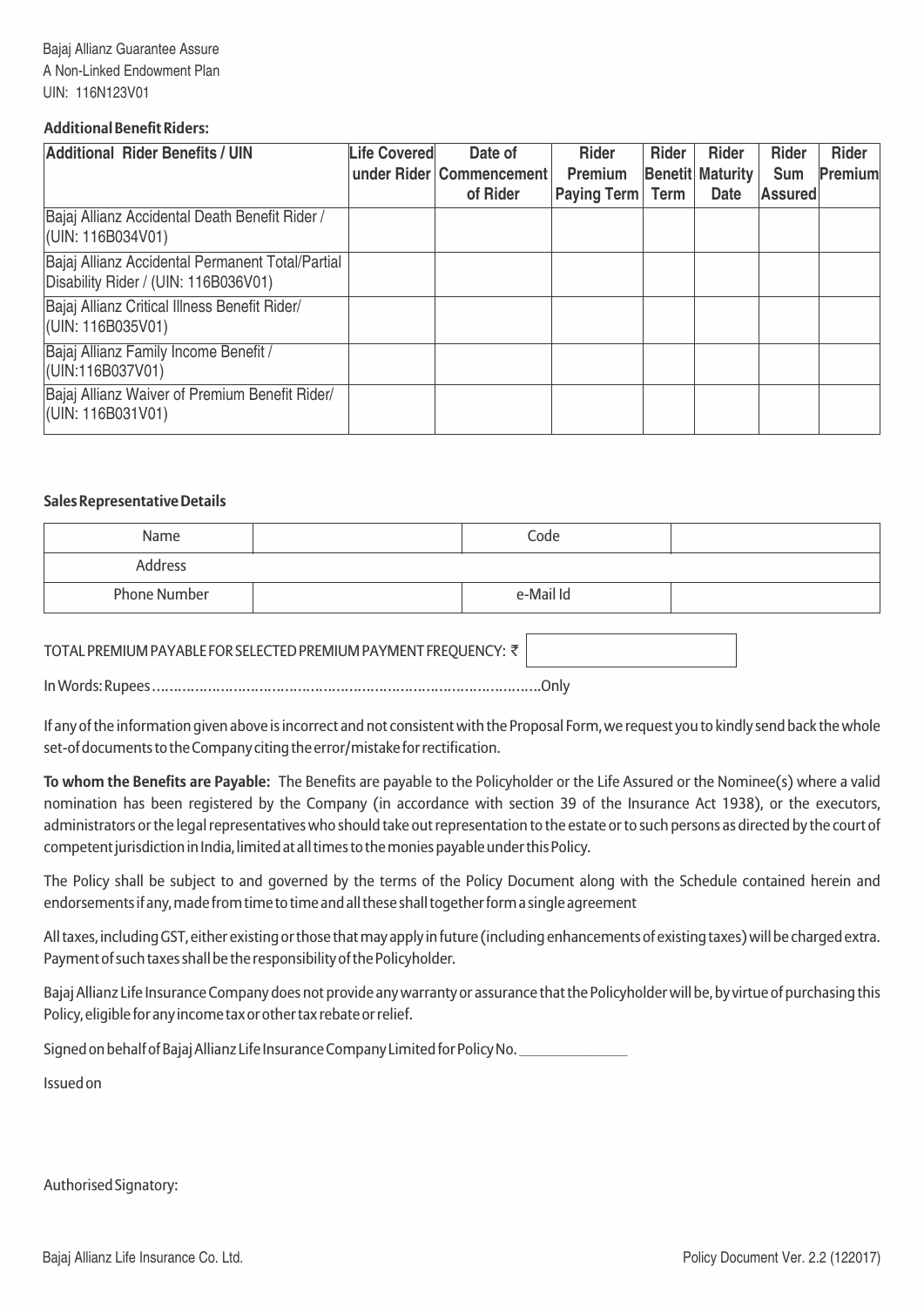# **Additional Benefit Riders:**

| <b>Additional Rider Benefits / UIN</b>                                                   | <b>Life Covered</b> | Date of<br>under Rider Commencement<br>of Rider | <b>Rider</b><br>Premium<br>Paying Term Term | Rider | <b>Rider</b><br><b>Benetit Maturity</b><br><b>Date</b> | <b>Rider</b><br><b>Sum</b><br><b>Assured</b> | <b>Rider</b><br>Premium |
|------------------------------------------------------------------------------------------|---------------------|-------------------------------------------------|---------------------------------------------|-------|--------------------------------------------------------|----------------------------------------------|-------------------------|
| Bajaj Allianz Accidental Death Benefit Rider /<br>$ $ (UIN: 116B034V01)                  |                     |                                                 |                                             |       |                                                        |                                              |                         |
| Bajaj Allianz Accidental Permanent Total/Partial<br>Disability Rider / (UIN: 116B036V01) |                     |                                                 |                                             |       |                                                        |                                              |                         |
| Bajaj Allianz Critical Illness Benefit Rider/<br>(UIN: 116B035V01)                       |                     |                                                 |                                             |       |                                                        |                                              |                         |
| Bajaj Allianz Family Income Benefit /<br>(UIN:116B037V01)                                |                     |                                                 |                                             |       |                                                        |                                              |                         |
| Bajaj Allianz Waiver of Premium Benefit Rider/<br>$ $ (UIN: 116B031V01)                  |                     |                                                 |                                             |       |                                                        |                                              |                         |

## **Sales Representative Details**

| Name                | Code      |  |
|---------------------|-----------|--|
| Address             |           |  |
| <b>Phone Number</b> | e-Mail Id |  |

# TOTAL PREMIUM PAYABLE FOR SELECTED PREMIUM PAYMENT FREQUENCY: ₹

In Words: Rupees ……………………………………………………………………………….Only

If any of the information given above is incorrect and not consistent with the Proposal Form, we request you to kindly send back the whole set-of documents to the Company citing the error/mistake for rectification.

**To whom the Benefits are Payable:** The Benefits are payable to the Policyholder or the Life Assured or the Nominee(s) where a valid nomination has been registered by the Company (in accordance with section 39 of the Insurance Act 1938), or the executors, administrators or the legal representatives who should take out representation to the estate or to such persons as directed by the court of competent jurisdiction in India, limited at all times to the monies payable under this Policy.

The Policy shall be subject to and governed by the terms of the Policy Document along with the Schedule contained herein and endorsements if any, made from time to time and all these shall together form a single agreement

All taxes, including GST, either existing or those that may apply in future (including enhancements of existing taxes) will be charged extra. Payment of such taxes shall be the responsibility of the Policyholder.

Bajaj Allianz Life Insurance Company does not provide any warranty or assurance that the Policyholder will be, by virtue of purchasing this Policy, eligible for any income tax or other tax rebate or relief.

Signed on behalf of Bajaj Allianz Life Insurance Company Limited for Policy No.

Issued on

Authorised Signatory: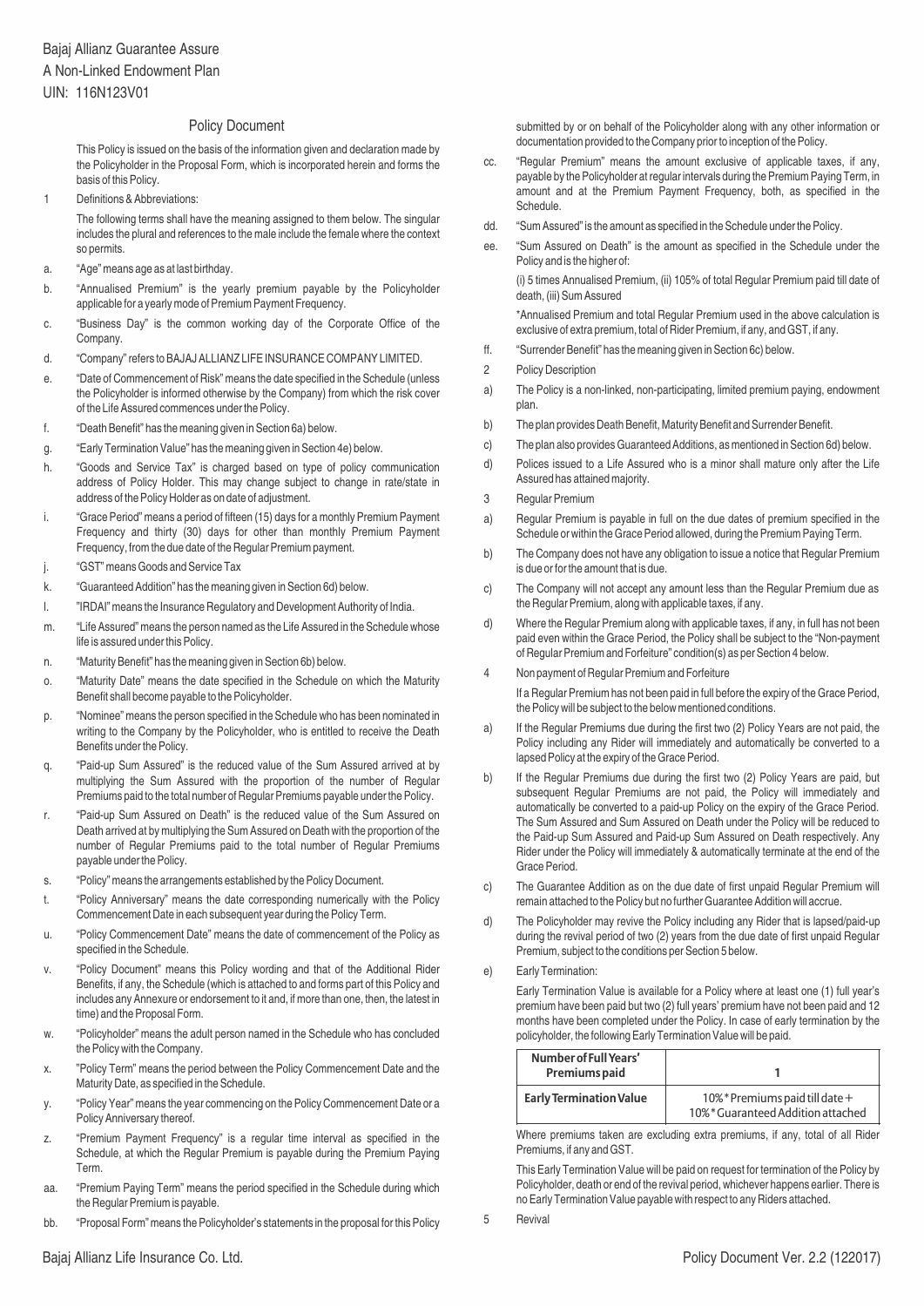### Policy Document

This Policy is issued on the basis of the information given and declaration made by the Policyholder in the Proposal Form, which is incorporated herein and forms the basis of this Policy.

1 Definitions & Abbreviations:

The following terms shall have the meaning assigned to them below. The singular includes the plural and references to the male include the female where the context so permits.

- a. "Age" means age as at last birthday.
- b. "Annualised Premium" is the yearly premium payable by the Policyholder applicable for a yearly mode of Premium Payment Frequency.
- c. "Business Day" is the common working day of the Corporate Office of the **Company**
- d. "Company" refers to BAJAJ ALLIANZ LIFE INSURANCE COMPANY LIMITED.
- e. "Date of Commencement of Risk" means the date specified in the Schedule (unless the Policyholder is informed otherwise by the Company) from which the risk cover of the Life Assured commences under the Policy.
- f. "Death Benefit" has the meaning given in Section 6a) below.
- g. "Early Termination Value" has the meaning given in Section 4e) below.
- h. "Goods and Service Tax" is charged based on type of policy communication address of Policy Holder. This may change subject to change in rate/state in address of the Policy Holder as on date of adjustment.
- i. "Grace Period" means a period of fifteen (15) days for a monthly Premium Payment Frequency and thirty (30) days for other than monthly Premium Payment Frequency, from the due date of the Regular Premium payment.
- j. "GST" means Goods and Service Tax
- k. "Guaranteed Addition" has the meaning given in Section 6d) below.
- l. "IRDAI" means the Insurance Regulatory and Development Authority of India.
- m. "Life Assured" means the person named as the Life Assured in the Schedule whose life is assured under this Policy.
- n. "Maturity Benefit" has the meaning given in Section 6b) below.
- o. "Maturity Date" means the date specified in the Schedule on which the Maturity Benefit shall become payable to the Policyholder.
- p. "Nominee" means the person specified in the Schedule who has been nominated in writing to the Company by the Policyholder, who is entitled to receive the Death Benefits under the Policy.
- q. "Paid-up Sum Assured" is the reduced value of the Sum Assured arrived at by multiplying the Sum Assured with the proportion of the number of Regular Premiums paid to the total number of Regular Premiums payable under the Policy.
- r. "Paid-up Sum Assured on Death" is the reduced value of the Sum Assured on Death arrived at by multiplying the Sum Assured on Death with the proportion of the number of Regular Premiums paid to the total number of Regular Premiums payable under the Policy.
- s. "Policy" means the arrangements established by the Policy Document.
- t. "Policy Anniversary" means the date corresponding numerically with the Policy Commencement Date in each subsequent year during the Policy Term.
- u. "Policy Commencement Date" means the date of commencement of the Policy as specified in the Schedule.
- v. "Policy Document" means this Policy wording and that of the Additional Rider Benefits, if any, the Schedule (which is attached to and forms part of this Policy and includes any Annexure or endorsement to it and, if more than one, then, the latest in time) and the Proposal Form.
- w. "Policyholder" means the adult person named in the Schedule who has concluded the Policy with the Company.
- x. "Policy Term" means the period between the Policy Commencement Date and the Maturity Date, as specified in the Schedule.
- y. "Policy Year" means the year commencing on the Policy Commencement Date or a Policy Anniversary thereof.
- z. "Premium Payment Frequency" is a regular time interval as specified in the Schedule, at which the Regular Premium is payable during the Premium Paying Term.
- aa. "Premium Paying Term" means the period specified in the Schedule during which the Regular Premium is payable.
- bb. "Proposal Form" means the Policyholder's statements in the proposal for this Policy

submitted by or on behalf of the Policyholder along with any other information or documentation provided to the Company prior to inception of the Policy.

- cc. "Regular Premium" means the amount exclusive of applicable taxes, if any, payable by the Policyholder at regular intervals during the Premium Paying Term, in amount and at the Premium Payment Frequency, both, as specified in the Schedule.
- dd. "Sum Assured" is the amount as specified in the Schedule under the Policy.
- ee. "Sum Assured on Death" is the amount as specified in the Schedule under the Policy and is the higher of:

(i) 5 times Annualised Premium, (ii) 105% of total Regular Premium paid till date of death, (iii) Sum Assured

\*Annualised Premium and total Regular Premium used in the above calculation is exclusive of extra premium, total of Rider Premium, if any, and GST, if any.

- ff. "Surrender Benefit" has the meaning given in Section 6c) below.
- 2 Policy Description
- a) The Policy is a non-linked, non-participating, limited premium paying, endowment plan.
- b) The plan provides Death Benefit, Maturity Benefit and Surrender Benefit.
- c) The plan also provides Guaranteed Additions, as mentioned in Section 6d) below.
- d) Polices issued to a Life Assured who is a minor shall mature only after the Life Assured has attained majority.
- 3 Regular Premium
- a) Regular Premium is payable in full on the due dates of premium specified in the Schedule or within the Grace Period allowed, during the Premium Paying Term.
- b) The Company does not have any obligation to issue a notice that Regular Premium is due or for the amount that is due.
- c) The Company will not accept any amount less than the Regular Premium due as the Regular Premium, along with applicable taxes, if any.
- d) Where the Regular Premium along with applicable taxes, if any, in full has not been paid even within the Grace Period, the Policy shall be subject to the "Non-payment of Regular Premium and Forfeiture" condition(s) as per Section 4 below.
- 4 Non payment of Regular Premium and Forfeiture If a Regular Premium has not been paid in full before the expiry of the Grace Period, the Policy will be subject to the below mentioned conditions.
- a) If the Regular Premiums due during the first two (2) Policy Years are not paid, the Policy including any Rider will immediately and automatically be converted to a lapsed Policy at the expiry of the Grace Period.
- b) If the Regular Premiums due during the first two (2) Policy Years are paid, but subsequent Regular Premiums are not paid, the Policy will immediately and automatically be converted to a paid-up Policy on the expiry of the Grace Period. The Sum Assured and Sum Assured on Death under the Policy will be reduced to the Paid-up Sum Assured and Paid-up Sum Assured on Death respectively. Any Rider under the Policy will immediately & automatically terminate at the end of the Grace Period.
- c) The Guarantee Addition as on the due date of first unpaid Regular Premium will remain attached to the Policy but no further Guarantee Addition will accrue.
- d) The Policyholder may revive the Policy including any Rider that is lapsed/paid-up during the revival period of two (2) years from the due date of first unpaid Regular Premium, subject to the conditions per Section 5 below.
- e) Early Termination:

Early Termination Value is available for a Policy where at least one (1) full year's premium have been paid but two (2) full years' premium have not been paid and 12 months have been completed under the Policy. In case of early termination by the policyholder, the following Early Termination Value will be paid.

| Number of Full Years'<br>Premiums paid |                                                                      |
|----------------------------------------|----------------------------------------------------------------------|
| <b>Early Termination Value</b>         | 10% * Premiums paid till date +<br>10%* Guaranteed Addition attached |

Where premiums taken are excluding extra premiums, if any, total of all Rider Premiums, if any and GST.

This Early Termination Value will be paid on request for termination of the Policy by Policyholder, death or end of the revival period, whichever happens earlier. There is no Early Termination Value payable with respect to any Riders attached.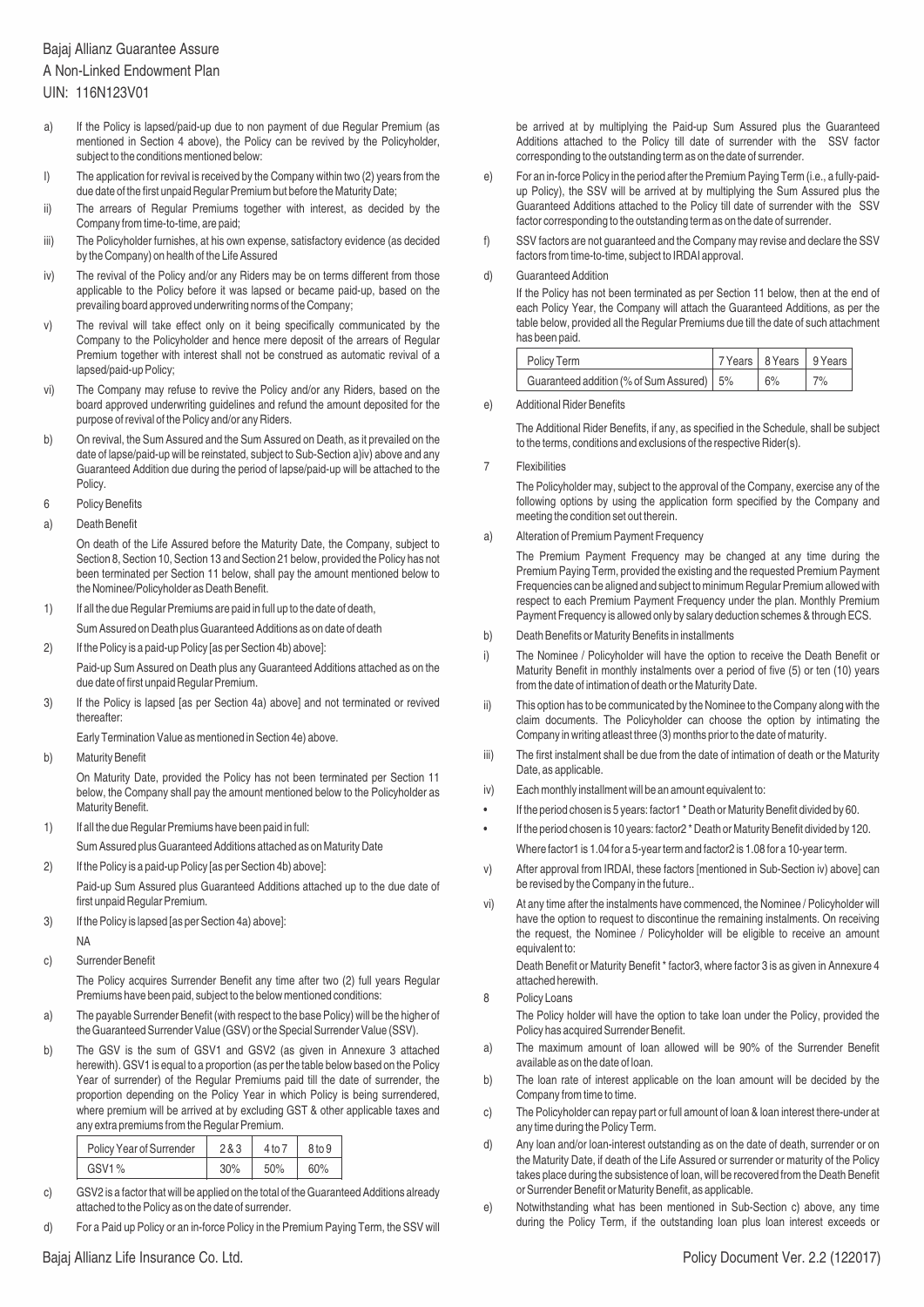# Bajaj Allianz Guarantee Assure A Non-Linked Endowment Plan

UIN: 116N123V01

- a) If the Policy is lapsed/paid-up due to non payment of due Regular Premium (as mentioned in Section 4 above), the Policy can be revived by the Policyholder, subject to the conditions mentioned below:
- I) The application for revival is received by the Company within two (2) years from the due date of the first unpaid Regular Premium but before the Maturity Date;
- ii) The arrears of Regular Premiums together with interest, as decided by the Company from time-to-time, are paid;
- iii) The Policyholder furnishes, at his own expense, satisfactory evidence (as decided by the Company) on health of the Life Assured
- iv) The revival of the Policy and/or any Riders may be on terms different from those applicable to the Policy before it was lapsed or became paid-up, based on the prevailing board approved underwriting norms of the Company;
- v) The revival will take effect only on it being specifically communicated by the Company to the Policyholder and hence mere deposit of the arrears of Regular Premium together with interest shall not be construed as automatic revival of a lapsed/paid-up Policy;
- vi) The Company may refuse to revive the Policy and/or any Riders, based on the board approved underwriting guidelines and refund the amount deposited for the purpose of revival of the Policy and/or any Riders.
- b) On revival, the Sum Assured and the Sum Assured on Death, as it prevailed on the date of lapse/paid-up will be reinstated, subject to Sub-Section a)iv) above and any Guaranteed Addition due during the period of lapse/paid-up will be attached to the Policy.
- 6 Policy Benefits
- a) Death Benefit

On death of the Life Assured before the Maturity Date, the Company, subject to Section 8, Section 10, Section 13 and Section 21 below, provided the Policy has not been terminated per Section 11 below, shall pay the amount mentioned below to the Nominee/Policyholder as Death Benefit.

1) If all the due Regular Premiums are paid in full up to the date of death,

Sum Assured on Death plus Guaranteed Additions as on date of death

- 2) If the Policy is a paid-up Policy [as per Section 4b) above]: Paid-up Sum Assured on Death plus any Guaranteed Additions attached as on the due date of first unpaid Regular Premium.
- 3) If the Policy is lapsed [as per Section 4a) above] and not terminated or revived thereafter:

Early Termination Value as mentioned in Section 4e) above.

b) Maturity Benefit

On Maturity Date, provided the Policy has not been terminated per Section 11 below, the Company shall pay the amount mentioned below to the Policyholder as Maturity Benefit.

1) If all the due Regular Premiums have been paid in full:

Sum Assured plus Guaranteed Additions attached as on Maturity Date

- 2) If the Policy is a paid-up Policy [as per Section 4b) above]: Paid-up Sum Assured plus Guaranteed Additions attached up to the due date of first unpaid Regular Premium.
- 3) If the Policy is lapsed [as per Section 4a) above]:
- NA
- c) Surrender Benefit

The Policy acquires Surrender Benefit any time after two (2) full years Regular Premiums have been paid, subject to the below mentioned conditions:

- a) The payable Surrender Benefit (with respect to the base Policy) will be the higher of the Guaranteed Surrender Value (GSV) or the Special Surrender Value (SSV).
- b) The GSV is the sum of GSV1 and GSV2 (as given in Annexure 3 attached herewith). GSV1 is equal to a proportion (as per the table below based on the Policy Year of surrender) of the Regular Premiums paid till the date of surrender, the proportion depending on the Policy Year in which Policy is being surrendered, where premium will be arrived at by excluding GST & other applicable taxes and any extra premiums from the Regular Premium.

| Policy Year of Surrender | 2&3 | 4 to 7 | 8 <sub>to</sub> 9 |
|--------------------------|-----|--------|-------------------|
| GSV1%                    | 30% | 50%    | 60%               |

- c) GSV2 is a factor that will be applied on the total of the Guaranteed Additions already attached to the Policy as on the date of surrender.
- d) For a Paid up Policy or an in-force Policy in the Premium Paying Term, the SSV will

be arrived at by multiplying the Paid-up Sum Assured plus the Guaranteed Additions attached to the Policy till date of surrender with the SSV factor corresponding to the outstanding term as on the date of surrender.

- e) For an in-force Policy in the period after the Premium Paying Term (i.e., a fully-paidup Policy), the SSV will be arrived at by multiplying the Sum Assured plus the Guaranteed Additions attached to the Policy till date of surrender with the SSV factor corresponding to the outstanding term as on the date of surrender.
- f) SSV factors are not guaranteed and the Company may revise and declare the SSV factors from time-to-time, subject to IRDAI approval.

#### d) Guaranteed Addition

If the Policy has not been terminated as per Section 11 below, then at the end of each Policy Year, the Company will attach the Guaranteed Additions, as per the table below, provided all the Regular Premiums due till the date of such attachment has been paid.

| Policy Term                                 | 7 Years   8 Years   9 Years |     |
|---------------------------------------------|-----------------------------|-----|
| Guaranteed addition (% of Sum Assured)   5% | 6%                          | 17% |

#### e) Additional Rider Benefits

The Additional Rider Benefits, if any, as specified in the Schedule, shall be subject to the terms, conditions and exclusions of the respective Rider(s).

### 7 Flexibilities

The Policyholder may, subject to the approval of the Company, exercise any of the following options by using the application form specified by the Company and meeting the condition set out therein.

a) Alteration of Premium Payment Frequency

The Premium Payment Frequency may be changed at any time during the Premium Paying Term, provided the existing and the requested Premium Payment Frequencies can be aligned and subject to minimum Regular Premium allowed with respect to each Premium Payment Frequency under the plan. Monthly Premium Payment Frequency is allowed only by salary deduction schemes & through ECS.

- b) Death Benefits or Maturity Benefits in installments
- i) The Nominee / Policyholder will have the option to receive the Death Benefit or Maturity Benefit in monthly instalments over a period of five (5) or ten (10) years from the date of intimation of death or the Maturity Date.
- ii) This option has to be communicated by the Nominee to the Company along with the claim documents. The Policyholder can choose the option by intimating the Company in writing atleast three (3) months prior to the date of maturity.
- iii) The first instalment shall be due from the date of intimation of death or the Maturity Date, as applicable.
- iv) Each monthly installment will be an amount equivalent to:
- If the period chosen is 5 years: factor1 \* Death or Maturity Benefit divided by 60.
- If the period chosen is 10 years: factor2 \* Death or Maturity Benefit divided by 120. Where factor1 is 1.04 for a 5-year term and factor2 is 1.08 for a 10-year term.
- v) After approval from IRDAI, these factors [mentioned in Sub-Section iv) above] can be revised by the Company in the future..
- vi) At any time after the instalments have commenced, the Nominee / Policyholder will have the option to request to discontinue the remaining instalments. On receiving the request, the Nominee / Policyholder will be eligible to receive an amount equivalent to:

Death Benefit or Maturity Benefit \* factor3, where factor 3 is as given in Annexure 4 attached herewith.

8 Policy Loans

The Policy holder will have the option to take loan under the Policy, provided the Policy has acquired Surrender Benefit.

- a) The maximum amount of loan allowed will be 90% of the Surrender Benefit available as on the date of loan.
- b) The loan rate of interest applicable on the loan amount will be decided by the Company from time to time.
- c) The Policyholder can repay part or full amount of loan & loan interest there-under at any time during the Policy Term.
- d) Any loan and/or loan-interest outstanding as on the date of death, surrender or on the Maturity Date, if death of the Life Assured or surrender or maturity of the Policy takes place during the subsistence of loan, will be recovered from the Death Benefit or Surrender Benefit or Maturity Benefit, as applicable.
- e) Notwithstanding what has been mentioned in Sub-Section c) above, any time during the Policy Term, if the outstanding loan plus loan interest exceeds or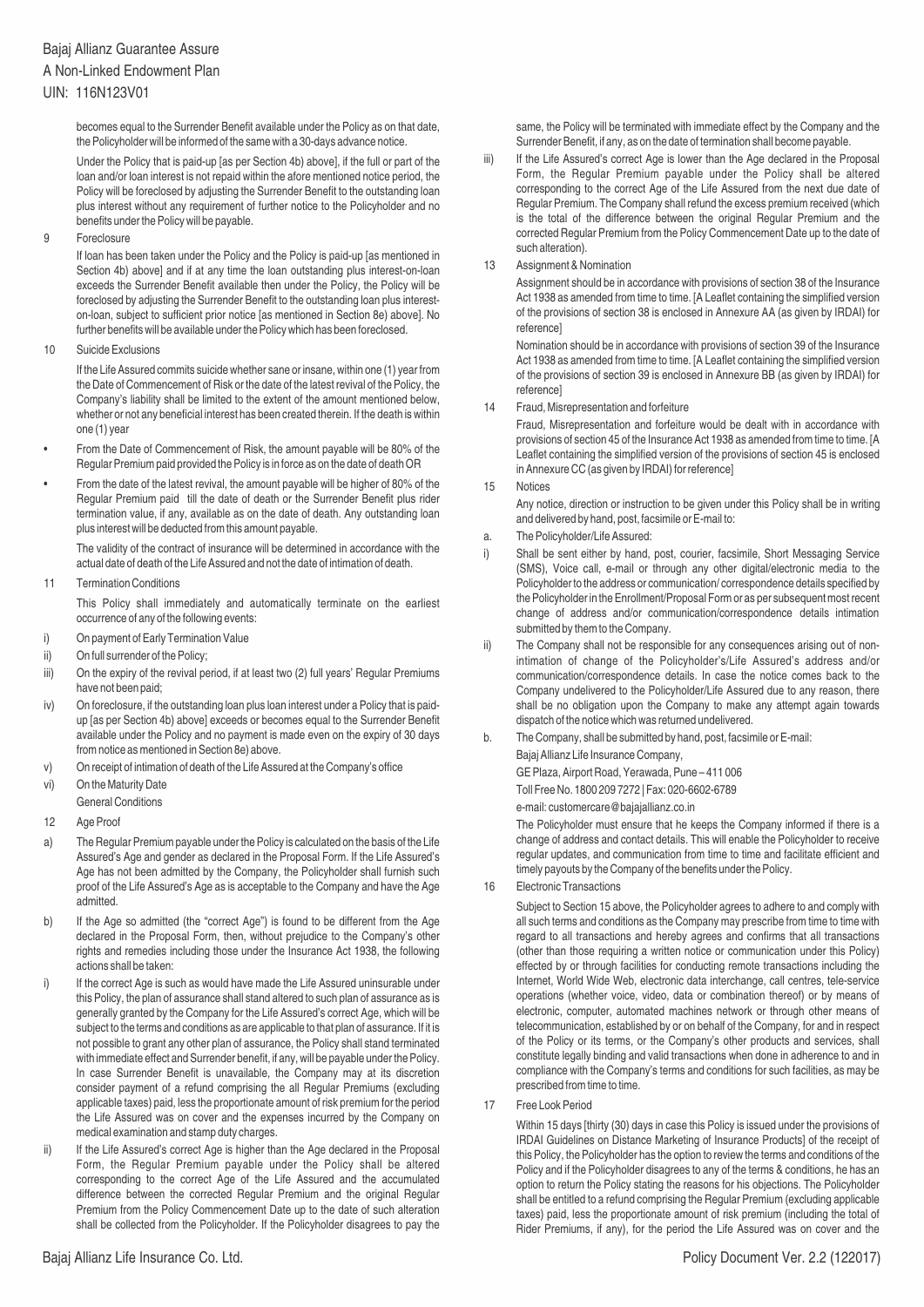# Bajaj Allianz Guarantee Assure A Non-Linked Endowment Plan

### UIN: 116N123V01

becomes equal to the Surrender Benefit available under the Policy as on that date, the Policyholder will be informed of the same with a 30-days advance notice.

Under the Policy that is paid-up [as per Section 4b) above], if the full or part of the loan and/or loan interest is not repaid within the afore mentioned notice period, the Policy will be foreclosed by adjusting the Surrender Benefit to the outstanding loan plus interest without any requirement of further notice to the Policyholder and no benefits under the Policy will be payable.

9 Foreclosure

If loan has been taken under the Policy and the Policy is paid-up [as mentioned in Section 4b) above] and if at any time the loan outstanding plus interest-on-loan exceeds the Surrender Benefit available then under the Policy, the Policy will be foreclosed by adjusting the Surrender Benefit to the outstanding loan plus intereston-loan, subject to sufficient prior notice [as mentioned in Section 8e) above]. No further benefits will be available under the Policy which has been foreclosed.

10 Suicide Exclusions

If the Life Assured commits suicide whether sane or insane, within one (1) year from the Date of Commencement of Risk or the date of the latest revival of the Policy, the Company's liability shall be limited to the extent of the amount mentioned below, whether or not any beneficial interest has been created therein. If the death is within one (1) year

- From the Date of Commencement of Risk, the amount payable will be 80% of the Regular Premium paid provided the Policy is in force as on the date of death OR
- From the date of the latest revival, the amount payable will be higher of 80% of the Regular Premium paid till the date of death or the Surrender Benefit plus rider termination value, if any, available as on the date of death. Any outstanding loan plus interest will be deducted from this amount payable.

The validity of the contract of insurance will be determined in accordance with the actual date of death of the Life Assured and not the date of intimation of death.

11 Termination Conditions

This Policy shall immediately and automatically terminate on the earliest occurrence of any of the following events:

- i) On payment of Early Termination Value
- ii) On full surrender of the Policy;
- iii) On the expiry of the revival period, if at least two (2) full years' Regular Premiums have not been paid;
- iv) On foreclosure, if the outstanding loan plus loan interest under a Policy that is paidup [as per Section 4b) above] exceeds or becomes equal to the Surrender Benefit available under the Policy and no payment is made even on the expiry of 30 days from notice as mentioned in Section 8e) above.
- v) On receipt of intimation of death of the Life Assured at the Company's office
- vi) On the Maturity Date
- General Conditions
- 12 Age Proof
- a) The Regular Premium payable under the Policy is calculated on the basis of the Life Assured's Age and gender as declared in the Proposal Form. If the Life Assured's Age has not been admitted by the Company, the Policyholder shall furnish such proof of the Life Assured's Age as is acceptable to the Company and have the Age admitted.
- b) If the Age so admitted (the "correct Age") is found to be different from the Age declared in the Proposal Form, then, without prejudice to the Company's other rights and remedies including those under the Insurance Act 1938, the following actions shall be taken:
- i) If the correct Age is such as would have made the Life Assured uninsurable under this Policy, the plan of assurance shall stand altered to such plan of assurance as is generally granted by the Company for the Life Assured's correct Age, which will be subject to the terms and conditions as are applicable to that plan of assurance. If it is not possible to grant any other plan of assurance, the Policy shall stand terminated with immediate effect and Surrender benefit, if any, will be payable under the Policy. In case Surrender Benefit is unavailable, the Company may at its discretion consider payment of a refund comprising the all Regular Premiums (excluding applicable taxes) paid, less the proportionate amount of risk premium for the period the Life Assured was on cover and the expenses incurred by the Company on medical examination and stamp duty charges.
- ii) If the Life Assured's correct Age is higher than the Age declared in the Proposal Form, the Regular Premium payable under the Policy shall be altered corresponding to the correct Age of the Life Assured and the accumulated difference between the corrected Regular Premium and the original Regular Premium from the Policy Commencement Date up to the date of such alteration shall be collected from the Policyholder. If the Policyholder disagrees to pay the

same, the Policy will be terminated with immediate effect by the Company and the Surrender Benefit, if any, as on the date of termination shall become payable.

- iii) If the Life Assured's correct Age is lower than the Age declared in the Proposal Form, the Regular Premium payable under the Policy shall be altered corresponding to the correct Age of the Life Assured from the next due date of Regular Premium. The Company shall refund the excess premium received (which is the total of the difference between the original Regular Premium and the corrected Regular Premium from the Policy Commencement Date up to the date of such alteration).
- 13 Assignment & Nomination

Assignment should be in accordance with provisions of section 38 of the Insurance Act 1938 as amended from time to time. [A Leaflet containing the simplified version of the provisions of section 38 is enclosed in Annexure AA (as given by IRDAI) for reference]

Nomination should be in accordance with provisions of section 39 of the Insurance Act 1938 as amended from time to time. [A Leaflet containing the simplified version of the provisions of section 39 is enclosed in Annexure BB (as given by IRDAI) for reference]

14 Fraud, Misrepresentation and forfeiture

Fraud, Misrepresentation and forfeiture would be dealt with in accordance with provisions of section 45 of the Insurance Act 1938 as amended from time to time. [A Leaflet containing the simplified version of the provisions of section 45 is enclosed in Annexure CC (as given by IRDAI) for reference]

15 Notices

Any notice, direction or instruction to be given under this Policy shall be in writing and delivered by hand, post, facsimile or E-mail to:

- a. The Policyholder/Life Assured:
- i) Shall be sent either by hand, post, courier, facsimile, Short Messaging Service (SMS), Voice call, e-mail or through any other digital/electronic media to the Policyholder to the address or communication/ correspondence details specified by the Policyholder in the Enrollment/Proposal Form or as per subsequent most recent change of address and/or communication/correspondence details intimation submitted by them to the Company.
- ii) The Company shall not be responsible for any consequences arising out of nonintimation of change of the Policyholder's/Life Assured's address and/or communication/correspondence details. In case the notice comes back to the Company undelivered to the Policyholder/Life Assured due to any reason, there shall be no obligation upon the Company to make any attempt again towards dispatch of the notice which was returned undelivered.
- b. The Company, shall be submitted by hand, post, facsimile or E-mail: Bajaj Allianz Life Insurance Company, GE Plaza, Airport Road, Yerawada, Pune – 411 006

Toll Free No. 1800 209 7272 | Fax: 020-6602-6789

e-mail: customercare@bajajallianz.co.in

The Policyholder must ensure that he keeps the Company informed if there is a change of address and contact details. This will enable the Policyholder to receive regular updates, and communication from time to time and facilitate efficient and timely payouts by the Company of the benefits under the Policy.

16 Electronic Transactions

Subject to Section 15 above, the Policyholder agrees to adhere to and comply with all such terms and conditions as the Company may prescribe from time to time with regard to all transactions and hereby agrees and confirms that all transactions (other than those requiring a written notice or communication under this Policy) effected by or through facilities for conducting remote transactions including the Internet, World Wide Web, electronic data interchange, call centres, tele-service operations (whether voice, video, data or combination thereof) or by means of electronic, computer, automated machines network or through other means of telecommunication, established by or on behalf of the Company, for and in respect of the Policy or its terms, or the Company's other products and services, shall constitute legally binding and valid transactions when done in adherence to and in compliance with the Company's terms and conditions for such facilities, as may be prescribed from time to time.

17 Free Look Period

Within 15 days [thirty (30) days in case this Policy is issued under the provisions of IRDAI Guidelines on Distance Marketing of Insurance Products] of the receipt of this Policy, the Policyholder has the option to review the terms and conditions of the Policy and if the Policyholder disagrees to any of the terms & conditions, he has an option to return the Policy stating the reasons for his objections. The Policyholder shall be entitled to a refund comprising the Regular Premium (excluding applicable taxes) paid, less the proportionate amount of risk premium (including the total of Rider Premiums, if any), for the period the Life Assured was on cover and the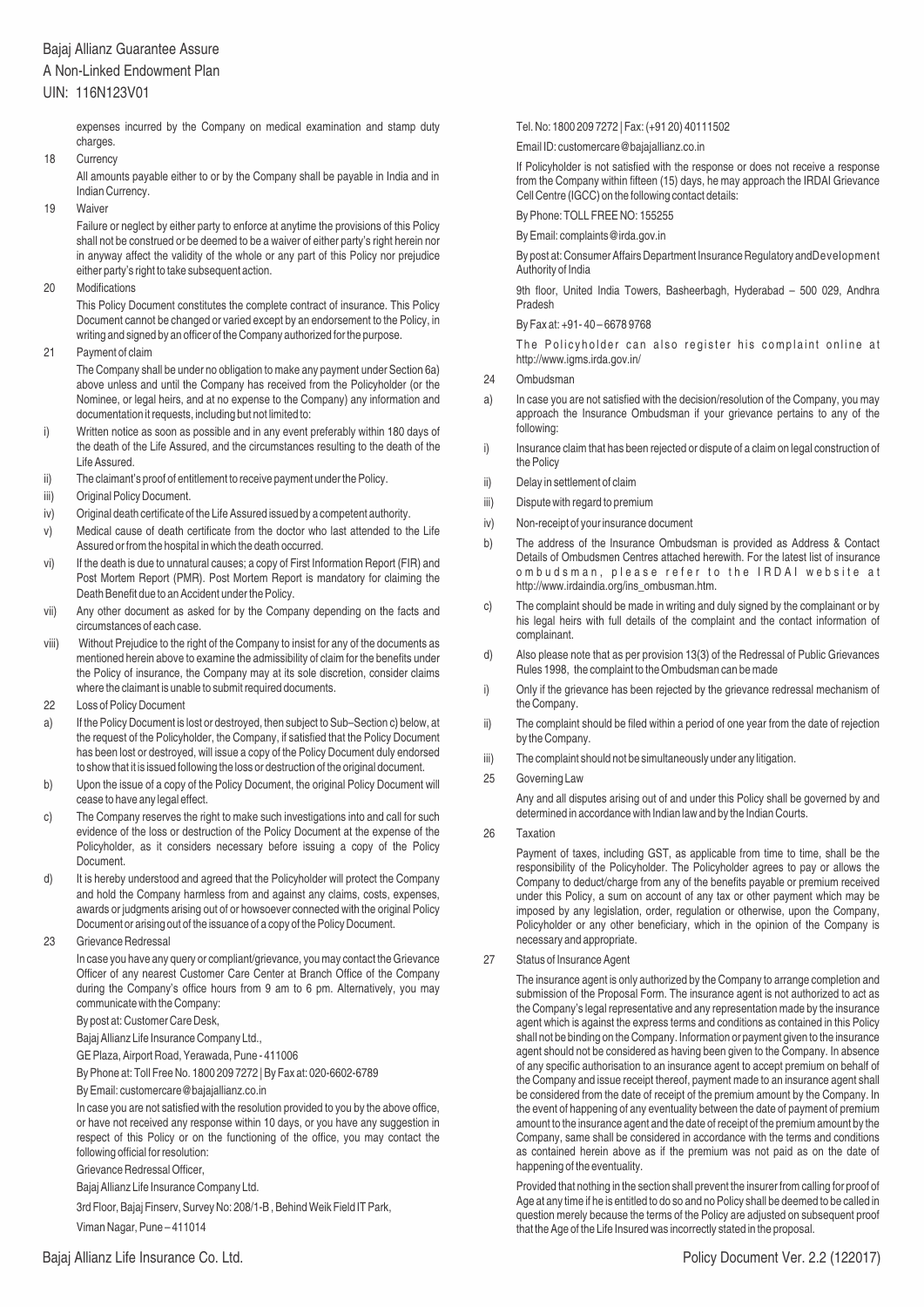### Bajaj Allianz Guarantee Assure

### A Non-Linked Endowment Plan

### UIN: 116N123V01

expenses incurred by the Company on medical examination and stamp duty charges.

18 Currency

All amounts payable either to or by the Company shall be payable in India and in Indian Currency.

19 Waiver

Failure or neglect by either party to enforce at anytime the provisions of this Policy shall not be construed or be deemed to be a waiver of either party's right herein nor in anyway affect the validity of the whole or any part of this Policy nor prejudice either party's right to take subsequent action.

20 Modifications

This Policy Document constitutes the complete contract of insurance. This Policy Document cannot be changed or varied except by an endorsement to the Policy, in writing and signed by an officer of the Company authorized for the purpose.

21 Payment of claim

The Company shall be under no obligation to make any payment under Section 6a) above unless and until the Company has received from the Policyholder (or the Nominee, or legal heirs, and at no expense to the Company) any information and documentation it requests, including but not limited to:

- i) Written notice as soon as possible and in any event preferably within 180 days of the death of the Life Assured, and the circumstances resulting to the death of the Life Assured.
- ii) The claimant's proof of entitlement to receive payment under the Policy.
- iii) Original Policy Document.
- iv) Original death certificate of the Life Assured issued by a competent authority.
- v) Medical cause of death certificate from the doctor who last attended to the Life Assured or from the hospital in which the death occurred.
- vi) If the death is due to unnatural causes; a copy of First Information Report (FIR) and Post Mortem Report (PMR). Post Mortem Report is mandatory for claiming the Death Benefit due to an Accident under the Policy.
- vii) Any other document as asked for by the Company depending on the facts and circumstances of each case.
- viii) Without Prejudice to the right of the Company to insist for any of the documents as mentioned herein above to examine the admissibility of claim for the benefits under the Policy of insurance, the Company may at its sole discretion, consider claims where the claimant is unable to submit required documents.
- 22 Loss of Policy Document
- a) If the Policy Document is lost or destroyed, then subject to Sub–Section c) below, at the request of the Policyholder, the Company, if satisfied that the Policy Document has been lost or destroyed, will issue a copy of the Policy Document duly endorsed to show that it is issued following the loss or destruction of the original document.
- b) Upon the issue of a copy of the Policy Document, the original Policy Document will cease to have any legal effect.
- c) The Company reserves the right to make such investigations into and call for such evidence of the loss or destruction of the Policy Document at the expense of the Policyholder, as it considers necessary before issuing a copy of the Policy Document.
- d) It is hereby understood and agreed that the Policyholder will protect the Company and hold the Company harmless from and against any claims, costs, expenses, awards or judgments arising out of or howsoever connected with the original Policy Document or arising out of the issuance of a copy of the Policy Document.
- 23 Grievance Redressal

In case you have any query or compliant/grievance, you may contact the Grievance Officer of any nearest Customer Care Center at Branch Office of the Company during the Company's office hours from 9 am to 6 pm. Alternatively, you may communicate with the Company:

By post at: Customer Care Desk,

Bajaj Allianz Life Insurance Company Ltd.,

GE Plaza, Airport Road, Yerawada, Pune - 411006

By Phone at: Toll Free No. 1800 209 7272 | By Fax at: 020-6602-6789

By Email: customercare@bajajallianz.co.in

In case you are not satisfied with the resolution provided to you by the above office, or have not received any response within 10 days, or you have any suggestion in respect of this Policy or on the functioning of the office, you may contact the following official for resolution:

Grievance Redressal Officer,

Bajaj Allianz Life Insurance Company Ltd.

3rd Floor, Bajaj Finserv, Survey No: 208/1-B , Behind Weik Field IT Park, Viman Nagar, Pune – 411014

Tel. No: 1800 209 7272 | Fax: (+91 20) 40111502

Email ID: customercare@bajajallianz.co.in

If Policyholder is not satisfied with the response or does not receive a response from the Company within fifteen (15) days, he may approach the IRDAI Grievance Cell Centre (IGCC) on the following contact details:

By Phone: TOLL FREE NO: 155255

By Email: complaints@irda.gov.in

By post at: Consumer Affairs Department Insurance Regulatory and Development Authority of India

9th floor, United India Towers, Basheerbagh, Hyderabad – 500 029, Andhra Pradesh

By Fax at: +91- 40 – 6678 9768

The Policyholder can also register his complaint online at http://www.igms.irda.gov.in/

- 24 Ombudsman
- a) In case you are not satisfied with the decision/resolution of the Company, you may approach the Insurance Ombudsman if your grievance pertains to any of the following:
- i) Insurance claim that has been rejected or dispute of a claim on legal construction of the Policy
- ii) Delay in settlement of claim
- iii) Dispute with regard to premium
- iv) Non-receipt of your insurance document
- b) The address of the Insurance Ombudsman is provided as Address & Contact Details of Ombudsmen Centres attached herewith. For the latest list of insurance ombudsman, please refer to the IRDAI website at http://www.irdaindia.org/ins\_ombusman.htm.
- c) The complaint should be made in writing and duly signed by the complainant or by his legal heirs with full details of the complaint and the contact information of complainant.
- d) Also please note that as per provision 13(3) of the Redressal of Public Grievances Rules 1998, the complaint to the Ombudsman can be made
- i) Only if the grievance has been rejected by the grievance redressal mechanism of the Company.
- ii) The complaint should be filed within a period of one year from the date of rejection by the Company.
- iii) The complaint should not be simultaneously under any litigation.
- 25 Governing Law

Any and all disputes arising out of and under this Policy shall be governed by and determined in accordance with Indian law and by the Indian Courts.

26 Taxation

Payment of taxes, including GST, as applicable from time to time, shall be the responsibility of the Policyholder. The Policyholder agrees to pay or allows the Company to deduct/charge from any of the benefits payable or premium received under this Policy, a sum on account of any tax or other payment which may be imposed by any legislation, order, regulation or otherwise, upon the Company, Policyholder or any other beneficiary, which in the opinion of the Company is necessary and appropriate.

27 Status of Insurance Agent

The insurance agent is only authorized by the Company to arrange completion and submission of the Proposal Form. The insurance agent is not authorized to act as the Company's legal representative and any representation made by the insurance agent which is against the express terms and conditions as contained in this Policy shall not be binding on the Company. Information or payment given to the insurance agent should not be considered as having been given to the Company. In absence of any specific authorisation to an insurance agent to accept premium on behalf of the Company and issue receipt thereof, payment made to an insurance agent shall be considered from the date of receipt of the premium amount by the Company. In the event of happening of any eventuality between the date of payment of premium amount to the insurance agent and the date of receipt of the premium amount by the Company, same shall be considered in accordance with the terms and conditions as contained herein above as if the premium was not paid as on the date of happening of the eventuality.

Provided that nothing in the section shall prevent the insurer from calling for proof of Age at any time if he is entitled to do so and no Policy shall be deemed to be called in question merely because the terms of the Policy are adjusted on subsequent proof that the Age of the Life Insured was incorrectly stated in the proposal.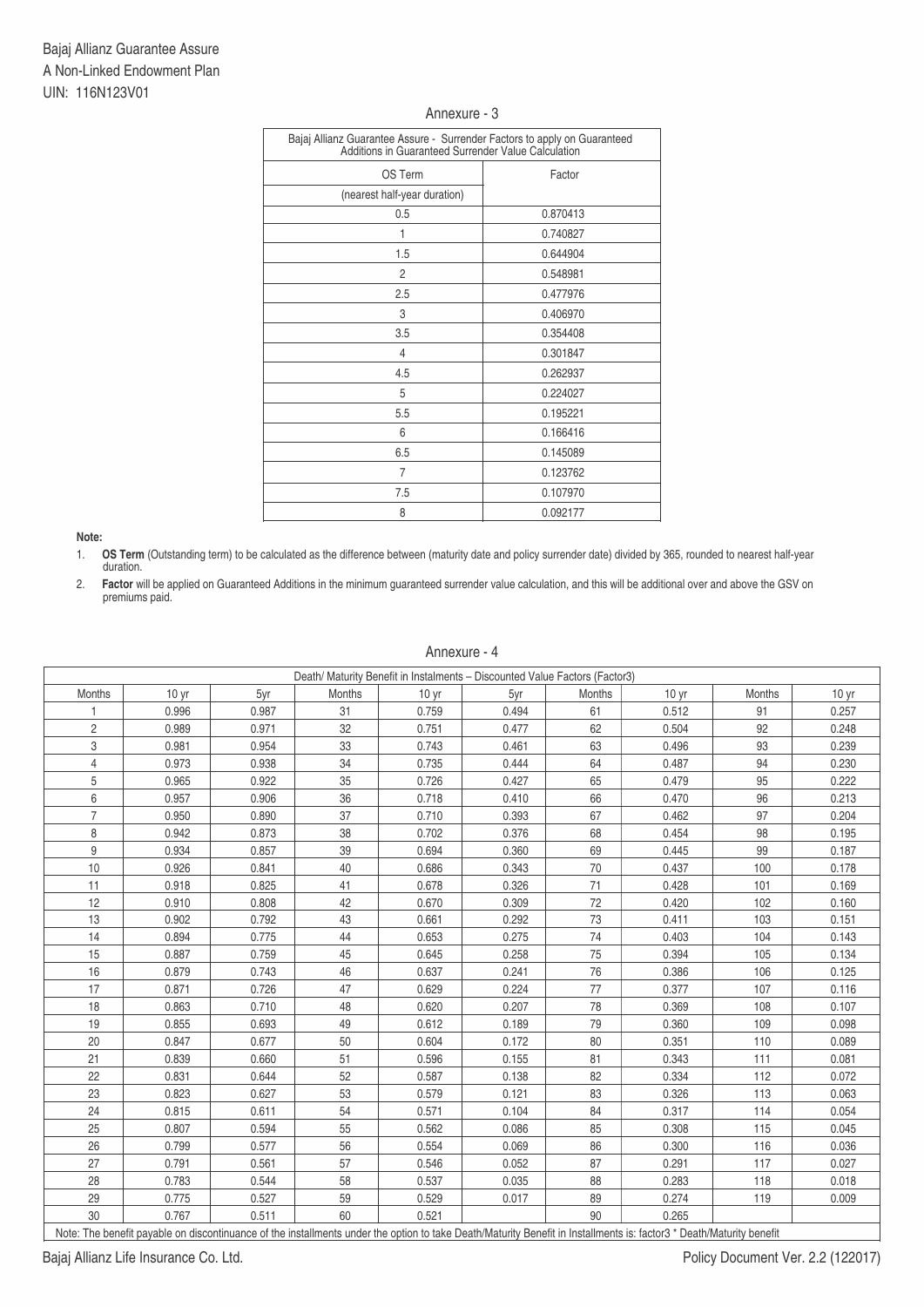### Annexure - 3

| Bajaj Allianz Guarantee Assure - Surrender Factors to apply on Guaranteed<br>Additions in Guaranteed Surrender Value Calculation |          |  |  |  |  |  |
|----------------------------------------------------------------------------------------------------------------------------------|----------|--|--|--|--|--|
| OS Term                                                                                                                          | Factor   |  |  |  |  |  |
| (nearest half-year duration)                                                                                                     |          |  |  |  |  |  |
| 0.5                                                                                                                              | 0.870413 |  |  |  |  |  |
| 1                                                                                                                                | 0.740827 |  |  |  |  |  |
| 1.5                                                                                                                              | 0.644904 |  |  |  |  |  |
| $\overline{c}$                                                                                                                   | 0.548981 |  |  |  |  |  |
| 2.5                                                                                                                              | 0.477976 |  |  |  |  |  |
| 3                                                                                                                                | 0.406970 |  |  |  |  |  |
| 3.5                                                                                                                              | 0.354408 |  |  |  |  |  |
| 4                                                                                                                                | 0.301847 |  |  |  |  |  |
| 4.5                                                                                                                              | 0.262937 |  |  |  |  |  |
| 5                                                                                                                                | 0.224027 |  |  |  |  |  |
| 5.5                                                                                                                              | 0.195221 |  |  |  |  |  |
| 6                                                                                                                                | 0.166416 |  |  |  |  |  |
| 6.5                                                                                                                              | 0.145089 |  |  |  |  |  |
| $\overline{7}$                                                                                                                   | 0.123762 |  |  |  |  |  |
| 7.5                                                                                                                              | 0.107970 |  |  |  |  |  |
| 8                                                                                                                                | 0.092177 |  |  |  |  |  |

**Note:** 

1. **OS Term** (Outstanding term) to be calculated as the difference between (maturity date and policy surrender date) divided by 365, rounded to nearest half-year duration.

2. **Factor** will be applied on Guaranteed Additions in the minimum guaranteed surrender value calculation, and this will be additional over and above the GSV on premiums paid.

Annexure - 4

| Death/ Maturity Benefit in Instalments - Discounted Value Factors (Factor3)                                                                                          |                  |       |        |                  |       |        |                  |        |                  |
|----------------------------------------------------------------------------------------------------------------------------------------------------------------------|------------------|-------|--------|------------------|-------|--------|------------------|--------|------------------|
| Months                                                                                                                                                               | 10 <sub>yr</sub> | 5yr   | Months | 10 <sub>yr</sub> | 5yr   | Months | 10 <sub>yr</sub> | Months | 10 <sub>yr</sub> |
|                                                                                                                                                                      | 0.996            | 0.987 | 31     | 0.759            | 0.494 | 61     | 0.512            | 91     | 0.257            |
| $\overline{2}$                                                                                                                                                       | 0.989            | 0.971 | 32     | 0.751            | 0.477 | 62     | 0.504            | 92     | 0.248            |
| 3                                                                                                                                                                    | 0.981            | 0.954 | 33     | 0.743            | 0.461 | 63     | 0.496            | 93     | 0.239            |
| $\overline{4}$                                                                                                                                                       | 0.973            | 0.938 | 34     | 0.735            | 0.444 | 64     | 0.487            | 94     | 0.230            |
| 5                                                                                                                                                                    | 0.965            | 0.922 | 35     | 0.726            | 0.427 | 65     | 0.479            | 95     | 0.222            |
| 6                                                                                                                                                                    | 0.957            | 0.906 | 36     | 0.718            | 0.410 | 66     | 0.470            | 96     | 0.213            |
| $\overline{7}$                                                                                                                                                       | 0.950            | 0.890 | 37     | 0.710            | 0.393 | 67     | 0.462            | 97     | 0.204            |
| 8                                                                                                                                                                    | 0.942            | 0.873 | 38     | 0.702            | 0.376 | 68     | 0.454            | 98     | 0.195            |
| 9                                                                                                                                                                    | 0.934            | 0.857 | 39     | 0.694            | 0.360 | 69     | 0.445            | 99     | 0.187            |
| 10                                                                                                                                                                   | 0.926            | 0.841 | 40     | 0.686            | 0.343 | 70     | 0.437            | 100    | 0.178            |
| 11                                                                                                                                                                   | 0.918            | 0.825 | 41     | 0.678            | 0.326 | 71     | 0.428            | 101    | 0.169            |
| 12                                                                                                                                                                   | 0.910            | 0.808 | 42     | 0.670            | 0.309 | 72     | 0.420            | 102    | 0.160            |
| 13                                                                                                                                                                   | 0.902            | 0.792 | 43     | 0.661            | 0.292 | 73     | 0.411            | 103    | 0.151            |
| 14                                                                                                                                                                   | 0.894            | 0.775 | 44     | 0.653            | 0.275 | 74     | 0.403            | 104    | 0.143            |
| 15                                                                                                                                                                   | 0.887            | 0.759 | 45     | 0.645            | 0.258 | 75     | 0.394            | 105    | 0.134            |
| 16                                                                                                                                                                   | 0.879            | 0.743 | 46     | 0.637            | 0.241 | 76     | 0.386            | 106    | 0.125            |
| 17                                                                                                                                                                   | 0.871            | 0.726 | 47     | 0.629            | 0.224 | 77     | 0.377            | 107    | 0.116            |
| 18                                                                                                                                                                   | 0.863            | 0.710 | 48     | 0.620            | 0.207 | 78     | 0.369            | 108    | 0.107            |
| 19                                                                                                                                                                   | 0.855            | 0.693 | 49     | 0.612            | 0.189 | 79     | 0.360            | 109    | 0.098            |
| 20                                                                                                                                                                   | 0.847            | 0.677 | 50     | 0.604            | 0.172 | 80     | 0.351            | 110    | 0.089            |
| 21                                                                                                                                                                   | 0.839            | 0.660 | 51     | 0.596            | 0.155 | 81     | 0.343            | 111    | 0.081            |
| 22                                                                                                                                                                   | 0.831            | 0.644 | 52     | 0.587            | 0.138 | 82     | 0.334            | 112    | 0.072            |
| 23                                                                                                                                                                   | 0.823            | 0.627 | 53     | 0.579            | 0.121 | 83     | 0.326            | 113    | 0.063            |
| 24                                                                                                                                                                   | 0.815            | 0.611 | 54     | 0.571            | 0.104 | 84     | 0.317            | 114    | 0.054            |
| 25                                                                                                                                                                   | 0.807            | 0.594 | 55     | 0.562            | 0.086 | 85     | 0.308            | 115    | 0.045            |
| 26                                                                                                                                                                   | 0.799            | 0.577 | 56     | 0.554            | 0.069 | 86     | 0.300            | 116    | 0.036            |
| 27                                                                                                                                                                   | 0.791            | 0.561 | 57     | 0.546            | 0.052 | 87     | 0.291            | 117    | 0.027            |
| 28                                                                                                                                                                   | 0.783            | 0.544 | 58     | 0.537            | 0.035 | 88     | 0.283            | 118    | 0.018            |
| 29                                                                                                                                                                   | 0.775            | 0.527 | 59     | 0.529            | 0.017 | 89     | 0.274            | 119    | 0.009            |
| 30                                                                                                                                                                   | 0.767            | 0.511 | 60     | 0.521            |       | 90     | 0.265            |        |                  |
| Note: The benefit payable on discontinuance of the installments under the option to take Death/Maturity Benefit in Installments is: factor3 * Death/Maturity benefit |                  |       |        |                  |       |        |                  |        |                  |

Note: The benefit payable on discontinuance of the installments under the option to take Death/Maturity Benefit in Installments is: factor3 \* Death/Maturity benefit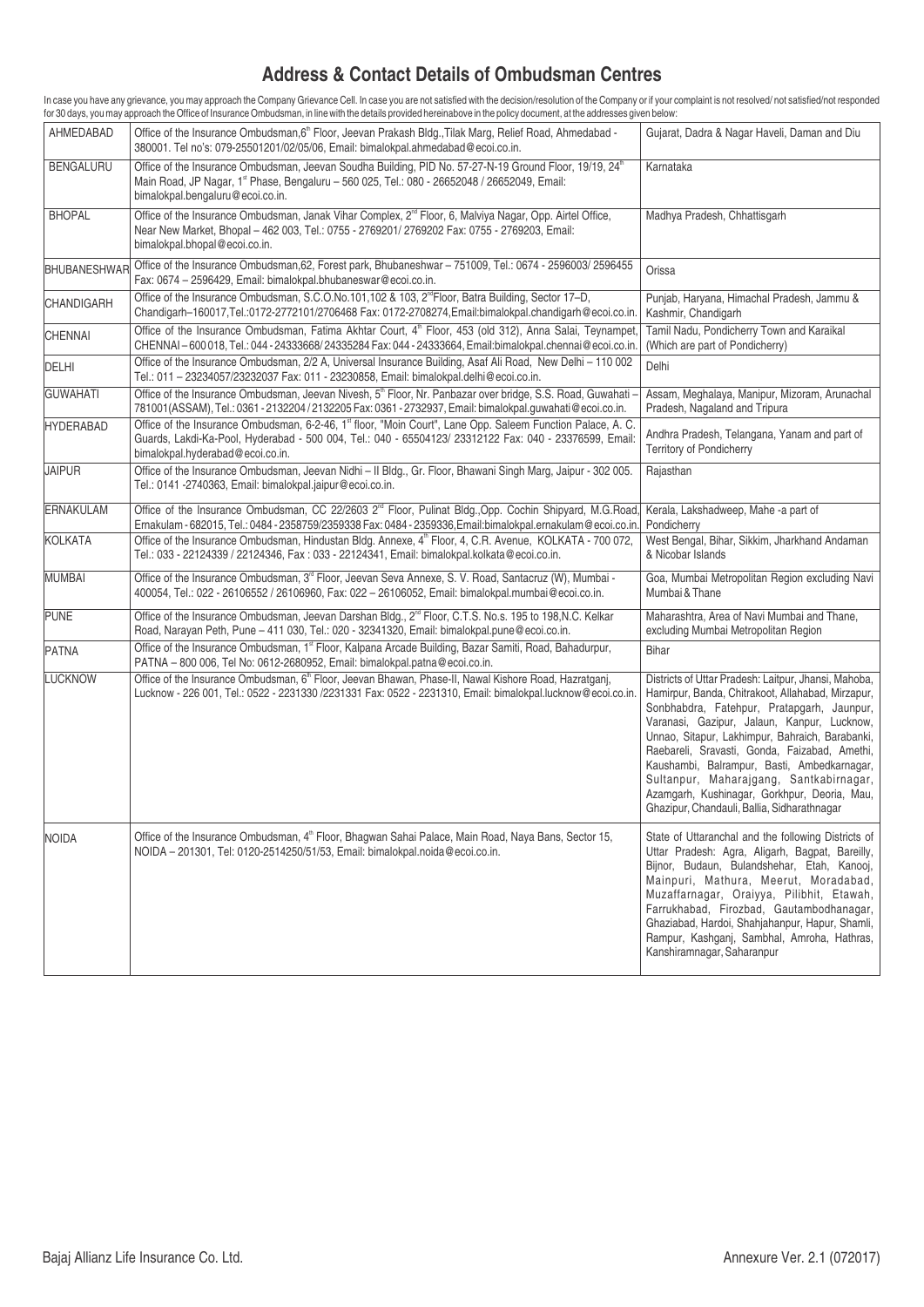# **Address & Contact Details of Ombudsman Centres**

In case you have any grievance, you may approach the Company Grievance Cell. In case you are not satisfied with the decision/resolution of the Company or if your complaint is not resolved/ not satisfied/not responded for 30 days, you may approach the Office of Insurance Ombudsman, in line with the details provided hereinabove in the policy document, at the addresses given below:

| AHMEDABAD           | Office of the Insurance Ombudsman, 6 <sup>th</sup> Floor, Jeevan Prakash Bldg., Tilak Marg, Relief Road, Ahmedabad -<br>380001. Tel no's: 079-25501201/02/05/06, Email: bimalokpal.ahmedabad@ecoi.co.in.                                                              | Gujarat, Dadra & Nagar Haveli, Daman and Diu                                                                                                                                                                                                                                                                                                                                                                                                                                                        |
|---------------------|-----------------------------------------------------------------------------------------------------------------------------------------------------------------------------------------------------------------------------------------------------------------------|-----------------------------------------------------------------------------------------------------------------------------------------------------------------------------------------------------------------------------------------------------------------------------------------------------------------------------------------------------------------------------------------------------------------------------------------------------------------------------------------------------|
| <b>BENGALURU</b>    | Office of the Insurance Ombudsman, Jeevan Soudha Building, PID No. 57-27-N-19 Ground Floor, 19/19, 24 <sup>th</sup><br>Main Road, JP Nagar, 1 <sup>st</sup> Phase, Bengaluru - 560 025, Tel.: 080 - 26652048 / 26652049, Email:<br>bimalokpal.bengaluru@ecoi.co.in.   | Karnataka                                                                                                                                                                                                                                                                                                                                                                                                                                                                                           |
| <b>BHOPAL</b>       | Office of the Insurance Ombudsman, Janak Vihar Complex, 2 <sup>nd</sup> Floor, 6, Malviya Nagar, Opp. Airtel Office,<br>Near New Market, Bhopal - 462 003, Tel.: 0755 - 2769201/ 2769202 Fax: 0755 - 2769203, Email:<br>bimalokpal.bhopal@ecoi.co.in.                 | Madhya Pradesh, Chhattisgarh                                                                                                                                                                                                                                                                                                                                                                                                                                                                        |
| <b>BHUBANESHWAR</b> | Office of the Insurance Ombudsman, 62, Forest park, Bhubaneshwar - 751009, Tel.: 0674 - 2596003/2596455<br>Fax: 0674 - 2596429, Email: bimalokpal.bhubaneswar@ecoi.co.in.                                                                                             | Orissa                                                                                                                                                                                                                                                                                                                                                                                                                                                                                              |
| CHANDIGARH          | Office of the Insurance Ombudsman, S.C.O.No.101,102 & 103, 2 <sup>nd</sup> Floor, Batra Building, Sector 17-D,<br>Chandigarh-160017, Tel.:0172-2772101/2706468 Fax: 0172-2708274, Email: bimalokpal.chandigarh@ecoi.co.in.                                            | Punjab, Haryana, Himachal Pradesh, Jammu &<br>Kashmir, Chandigarh                                                                                                                                                                                                                                                                                                                                                                                                                                   |
| <b>CHENNAI</b>      | Office of the Insurance Ombudsman, Fatima Akhtar Court, 4 <sup>th</sup> Floor, 453 (old 312), Anna Salai, Teynampet,<br>CHENNAI-600 018, Tel.: 044 - 24333668/24335284 Fax: 044 - 24333664, Email:bimalokpal.chennai@ecoi.co.in.                                      | Tamil Nadu, Pondicherry Town and Karaikal<br>(Which are part of Pondicherry)                                                                                                                                                                                                                                                                                                                                                                                                                        |
| <b>DELHI</b>        | Office of the Insurance Ombudsman, 2/2 A, Universal Insurance Building, Asaf Ali Road, New Delhi - 110 002<br>Tel.: 011 - 23234057/23232037 Fax: 011 - 23230858, Email: bimalokpal.delhi@ecoi.co.in.                                                                  | Delhi                                                                                                                                                                                                                                                                                                                                                                                                                                                                                               |
| <b>GUWAHATI</b>     | Office of the Insurance Ombudsman, Jeevan Nivesh, 5 <sup>th</sup> Floor, Nr. Panbazar over bridge, S.S. Road, Guwahati<br>781001(ASSAM), Tel.: 0361 - 2132204/2132205 Fax: 0361 - 2732937, Email: bimalokpal.guwahati@ecoi.co.in.                                     | Assam, Meghalaya, Manipur, Mizoram, Arunachal<br>Pradesh, Nagaland and Tripura                                                                                                                                                                                                                                                                                                                                                                                                                      |
| <b>HYDERABAD</b>    | Office of the Insurance Ombudsman, 6-2-46, 1 <sup>st</sup> floor, "Moin Court", Lane Opp. Saleem Function Palace, A. C.<br>Guards, Lakdi-Ka-Pool, Hyderabad - 500 004, Tel.: 040 - 65504123/ 23312122 Fax: 040 - 23376599, Email:<br>bimalokpal.hyderabad@ecoi.co.in. | Andhra Pradesh, Telangana, Yanam and part of<br><b>Territory of Pondicherry</b>                                                                                                                                                                                                                                                                                                                                                                                                                     |
| <b>JAIPUR</b>       | Office of the Insurance Ombudsman, Jeevan Nidhi - II Bldg., Gr. Floor, Bhawani Singh Marg, Jaipur - 302 005.<br>Tel.: 0141 -2740363, Email: bimalokpal.jaipur@ecoi.co.in.                                                                                             | Rajasthan                                                                                                                                                                                                                                                                                                                                                                                                                                                                                           |
| ERNAKULAM           | Office of the Insurance Ombudsman, CC 22/2603 2 <sup>nd</sup> Floor, Pulinat Bldg., Opp. Cochin Shipyard, M.G.Road<br>Ernakulam - 682015, Tel.: 0484 - 2358759/2359338 Fax: 0484 - 2359336, Ernail: bimalokpal.ernakulam@ecoi.co.in                                   | Kerala, Lakshadweep, Mahe -a part of<br>Pondicherry                                                                                                                                                                                                                                                                                                                                                                                                                                                 |
| KOLKATA             | Office of the Insurance Ombudsman, Hindustan Bldg. Annexe, 4 <sup>th</sup> Floor, 4, C.R. Avenue, KOLKATA - 700 072,<br>Tel.: 033 - 22124339 / 22124346, Fax: 033 - 22124341, Email: bimalokpal.kolkata@ecoi.co.in.                                                   | West Bengal, Bihar, Sikkim, Jharkhand Andaman<br>& Nicobar Islands                                                                                                                                                                                                                                                                                                                                                                                                                                  |
| MUMBAI              | Office of the Insurance Ombudsman, 3 <sup>rd</sup> Floor, Jeevan Seva Annexe, S. V. Road, Santacruz (W), Mumbai -<br>400054, Tel.: 022 - 26106552 / 26106960, Fax: 022 - 26106052, Email: bimalokpal.mumbai@ecoi.co.in.                                               | Goa, Mumbai Metropolitan Region excluding Navi<br>Mumbai & Thane                                                                                                                                                                                                                                                                                                                                                                                                                                    |
| <b>PUNE</b>         | Office of the Insurance Ombudsman, Jeevan Darshan Bldg., 2 <sup>nd</sup> Floor, C.T.S. No.s. 195 to 198, N.C. Kelkar<br>Road, Narayan Peth, Pune - 411 030, Tel.: 020 - 32341320, Email: bimalokpal.pune@ecoi.co.in.                                                  | Maharashtra, Area of Navi Mumbai and Thane,<br>excluding Mumbai Metropolitan Region                                                                                                                                                                                                                                                                                                                                                                                                                 |
| PATNA               | Office of the Insurance Ombudsman, 1 <sup>st</sup> Floor, Kalpana Arcade Building, Bazar Samiti, Road, Bahadurpur,<br>PATNA - 800 006, Tel No: 0612-2680952, Email: bimalokpal.patna@ecoi.co.in.                                                                      | <b>Bihar</b>                                                                                                                                                                                                                                                                                                                                                                                                                                                                                        |
| <b>LUCKNOW</b>      | Office of the Insurance Ombudsman, 6 <sup>th</sup> Floor, Jeevan Bhawan, Phase-II, Nawal Kishore Road, Hazratganj,<br>Lucknow - 226 001, Tel.: 0522 - 2231330 /2231331 Fax: 0522 - 2231310, Email: bimalokpal.lucknow@ecoi.co.in.                                     | Districts of Uttar Pradesh: Laitpur, Jhansi, Mahoba,<br>Hamirpur, Banda, Chitrakoot, Allahabad, Mirzapur,<br>Sonbhabdra, Fatehpur, Pratapgarh, Jaunpur,<br>Varanasi, Gazipur, Jalaun, Kanpur, Lucknow,<br>Unnao, Sitapur, Lakhimpur, Bahraich, Barabanki,<br>Raebareli, Sravasti, Gonda, Faizabad, Amethi,<br>Kaushambi, Balrampur, Basti, Ambedkarnagar,<br>Sultanpur, Maharajgang, Santkabirnagar,<br>Azamgarh, Kushinagar, Gorkhpur, Deoria, Mau,<br>Ghazipur, Chandauli, Ballia, Sidharathnagar |
| NOIDA               | Office of the Insurance Ombudsman, 4 <sup>th</sup> Floor, Bhagwan Sahai Palace, Main Road, Naya Bans, Sector 15,<br>NOIDA - 201301, Tel: 0120-2514250/51/53, Email: bimalokpal.noida@ecoi.co.in.                                                                      | State of Uttaranchal and the following Districts of<br>Uttar Pradesh: Agra, Aligarh, Bagpat, Bareilly,<br>Bijnor, Budaun, Bulandshehar, Etah, Kanooj,<br>Mainpuri, Mathura, Meerut, Moradabad,<br>Muzaffarnagar, Oraiyya, Pilibhit, Etawah,<br>Farrukhabad, Firozbad, Gautambodhanagar,<br>Ghaziabad, Hardoi, Shahjahanpur, Hapur, Shamli,<br>Rampur, Kashganj, Sambhal, Amroha, Hathras,<br>Kanshiramnagar, Saharanpur                                                                             |